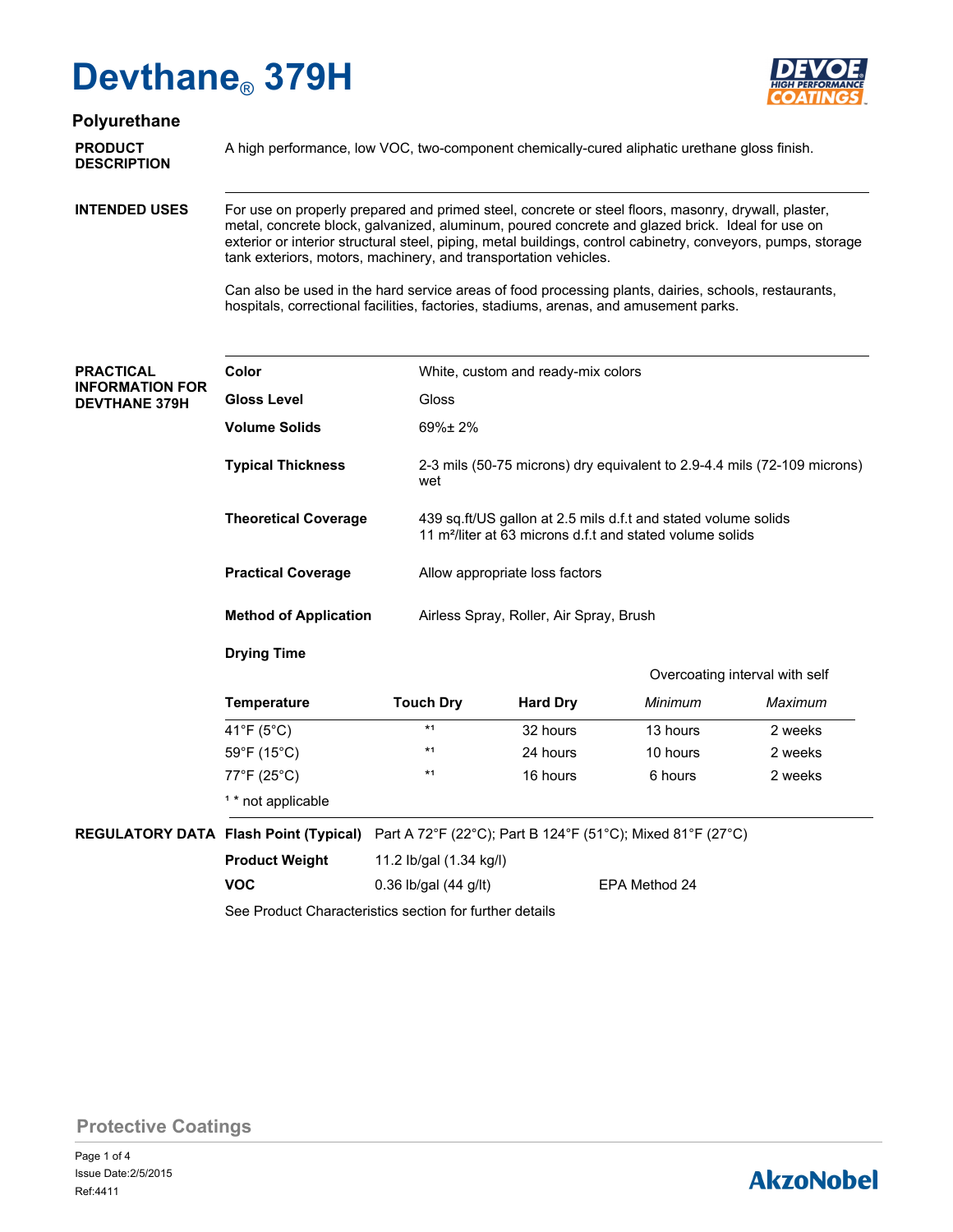

## **Polyurethane**

**DESCRIPTION**

**PRODUCT** A high performance, low VOC, two-component chemically-cured aliphatic urethane gloss finish.

**INTENDED USES**

For use on properly prepared and primed steel, concrete or steel floors, masonry, drywall, plaster, metal, concrete block, galvanized, aluminum, poured concrete and glazed brick. Ideal for use on exterior or interior structural steel, piping, metal buildings, control cabinetry, conveyors, pumps, storage tank exteriors, motors, machinery, and transportation vehicles.

Can also be used in the hard service areas of food processing plants, dairies, schools, restaurants, hospitals, correctional facilities, factories, stadiums, arenas, and amusement parks.

| <b>PRACTICAL</b><br><b>INFORMATION FOR</b><br><b>DEVTHANE 379H</b> | Color                                                |                         | White, custom and ready-mix colors                                                                                                                                                                                  |               |         |  |  |
|--------------------------------------------------------------------|------------------------------------------------------|-------------------------|---------------------------------------------------------------------------------------------------------------------------------------------------------------------------------------------------------------------|---------------|---------|--|--|
|                                                                    | <b>Gloss Level</b>                                   | Gloss                   |                                                                                                                                                                                                                     |               |         |  |  |
|                                                                    | <b>Volume Solids</b>                                 | $69\% \pm 2\%$          |                                                                                                                                                                                                                     |               |         |  |  |
|                                                                    | <b>Typical Thickness</b>                             | wet                     | 2-3 mils (50-75 microns) dry equivalent to 2.9-4.4 mils (72-109 microns)<br>439 sq.ft/US gallon at 2.5 mils d.f.t and stated volume solids<br>11 m <sup>2</sup> /liter at 63 microns d.f.t and stated volume solids |               |         |  |  |
|                                                                    | <b>Theoretical Coverage</b>                          |                         |                                                                                                                                                                                                                     |               |         |  |  |
|                                                                    | <b>Practical Coverage</b>                            |                         | Allow appropriate loss factors                                                                                                                                                                                      |               |         |  |  |
|                                                                    | <b>Method of Application</b>                         |                         | Airless Spray, Roller, Air Spray, Brush                                                                                                                                                                             |               |         |  |  |
|                                                                    | <b>Drying Time</b><br>Overcoating interval with self |                         |                                                                                                                                                                                                                     |               |         |  |  |
|                                                                    | <b>Temperature</b>                                   | <b>Touch Dry</b>        | <b>Hard Dry</b>                                                                                                                                                                                                     | Minimum       | Maximum |  |  |
|                                                                    | 41°F ( $5^{\circ}$ C)                                | $*1$                    | 32 hours                                                                                                                                                                                                            | 13 hours      | 2 weeks |  |  |
|                                                                    | $59^{\circ}$ F (15 $^{\circ}$ C)                     | $*1$                    | 24 hours                                                                                                                                                                                                            | 10 hours      | 2 weeks |  |  |
|                                                                    | 77°F (25°C)                                          | $*1$                    | 16 hours                                                                                                                                                                                                            | 6 hours       | 2 weeks |  |  |
|                                                                    | <sup>1</sup> * not applicable                        |                         |                                                                                                                                                                                                                     |               |         |  |  |
| <b>REGULATORY DATA Flash Point (Typical)</b>                       |                                                      |                         | Part A 72°F (22°C); Part B 124°F (51°C); Mixed 81°F (27°C)                                                                                                                                                          |               |         |  |  |
|                                                                    | <b>Product Weight</b>                                | 11.2 lb/gal (1.34 kg/l) |                                                                                                                                                                                                                     |               |         |  |  |
|                                                                    | <b>VOC</b>                                           | 0.36 lb/gal $(44$ g/lt) |                                                                                                                                                                                                                     | EPA Method 24 |         |  |  |
|                                                                    |                                                      |                         |                                                                                                                                                                                                                     |               |         |  |  |

See Product Characteristics section for further details

**Protective Coatings**

# **AkzoNobel**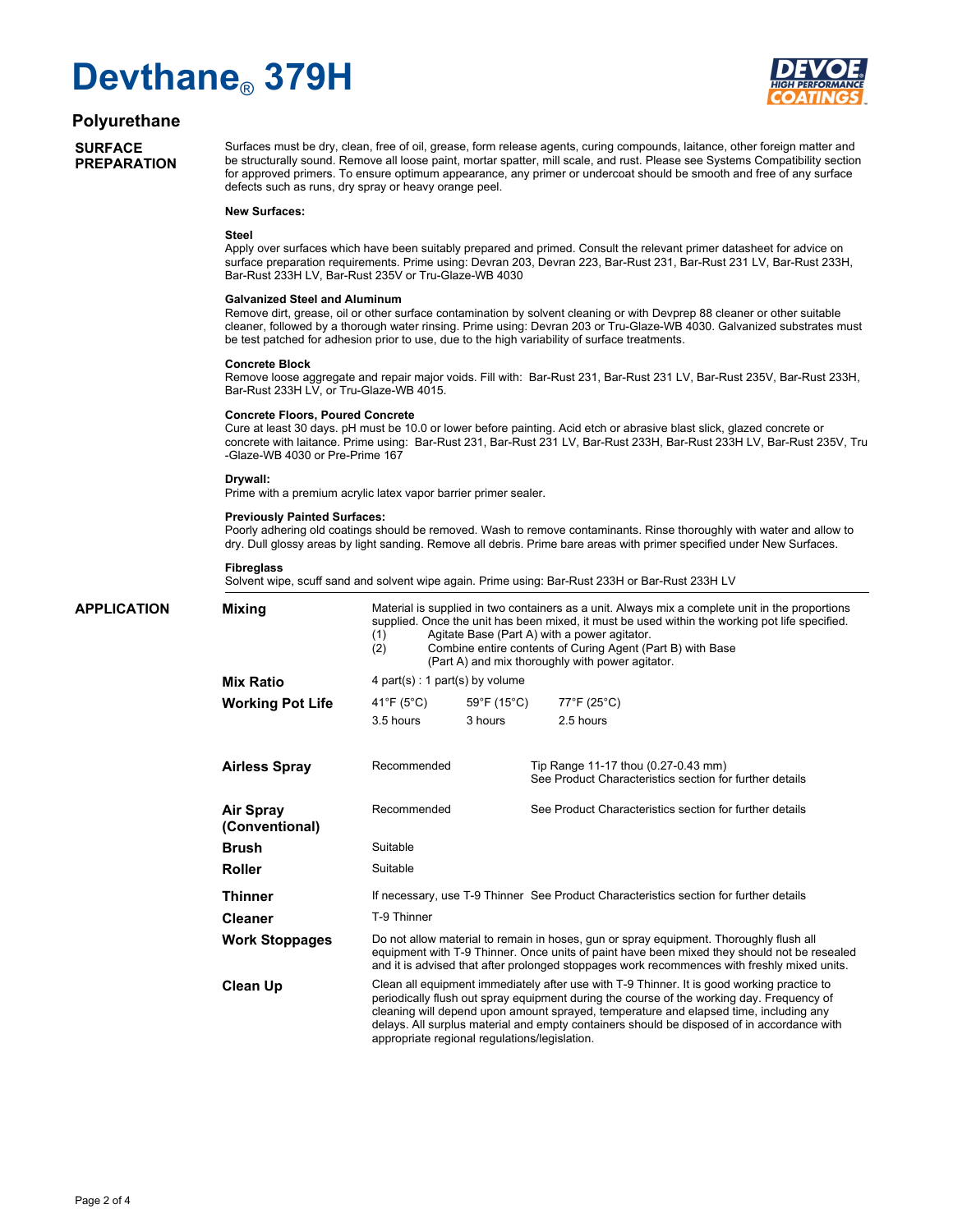

### **Polyurethane**

**SURFACE PREPARATION**

Surfaces must be dry, clean, free of oil, grease, form release agents, curing compounds, laitance, other foreign matter and be structurally sound. Remove all loose paint, mortar spatter, mill scale, and rust. Please see Systems Compatibility section for approved primers. To ensure optimum appearance, any primer or undercoat should be smooth and free of any surface defects such as runs, dry spray or heavy orange peel.

#### **New Surfaces:**

#### **Steel**

Apply over surfaces which have been suitably prepared and primed. Consult the relevant primer datasheet for advice on surface preparation requirements. Prime using: Devran 203, Devran 223, Bar-Rust 231, Bar-Rust 231 LV, Bar-Rust 233H, Bar-Rust 233H LV, Bar-Rust 235V or Tru-Glaze-WB 4030

#### **Galvanized Steel and Aluminum**

Remove dirt, grease, oil or other surface contamination by solvent cleaning or with Devprep 88 cleaner or other suitable cleaner, followed by a thorough water rinsing. Prime using: Devran 203 or Tru-Glaze-WB 4030. Galvanized substrates must be test patched for adhesion prior to use, due to the high variability of surface treatments.

#### **Concrete Block**

Remove loose aggregate and repair major voids. Fill with: Bar-Rust 231, Bar-Rust 231 LV, Bar-Rust 235V, Bar-Rust 233H, Bar-Rust 233H LV, or Tru-Glaze-WB 4015.

#### **Concrete Floors, Poured Concrete**

Cure at least 30 days. pH must be 10.0 or lower before painting. Acid etch or abrasive blast slick, glazed concrete or concrete with laitance. Prime using: Bar-Rust 231, Bar-Rust 231 LV, Bar-Rust 233H, Bar-Rust 233H LV, Bar-Rust 235V, Tru -Glaze-WB 4030 or Pre-Prime 167

#### **Drywall:**

Prime with a premium acrylic latex vapor barrier primer sealer.

#### **Previously Painted Surfaces:**

Poorly adhering old coatings should be removed. Wash to remove contaminants. Rinse thoroughly with water and allow to dry. Dull glossy areas by light sanding. Remove all debris. Prime bare areas with primer specified under New Surfaces.

#### **Fibreglass**

Solvent wipe, scuff sand and solvent wipe again. Prime using: Bar-Rust 233H or Bar-Rust 233H LV

Material is supplied in two containers as a unit. Always mix a complete unit in the proportions supplied. Once the unit has been mixed, it must be used within the working pot life specified. (1) Agitate Base (Part A) with a power agitator.<br>(2) Combine entire contents of Curing Agent (F) Combine entire contents of Curing Agent (Part B) with Base (Part A) and mix thoroughly with power agitator. 4 part(s) : 1 part(s) by volume Suitable Suitable If necessary, use T-9 Thinner See Product Characteristics section for further details T-9 Thinner Do not allow material to remain in hoses, gun or spray equipment. Thoroughly flush all equipment with T-9 Thinner. Once units of paint have been mixed they should not be resealed and it is advised that after prolonged stoppages work recommences with freshly mixed units. Clean all equipment immediately after use with T-9 Thinner. It is good working practice to periodically flush out spray equipment during the course of the working day. Frequency of cleaning will depend upon amount sprayed, temperature and elapsed time, including any delays. All surplus material and empty containers should be disposed of in accordance with appropriate regional regulations/legislation. Recommended Recommended See Product Characteristics section for further details Tip Range 11-17 thou (0.27-0.43 mm) See Product Characteristics section for further details **APPLICATION Mixing Mix Ratio Working Pot Life Airless Spray Air Spray (Conventional) Brush Roller Thinner Cleaner Work Stoppages Clean Up** 41°F (5°C) 59°F (15°C) 77°F (25°C) 3.5 hours 3 hours 2.5 hours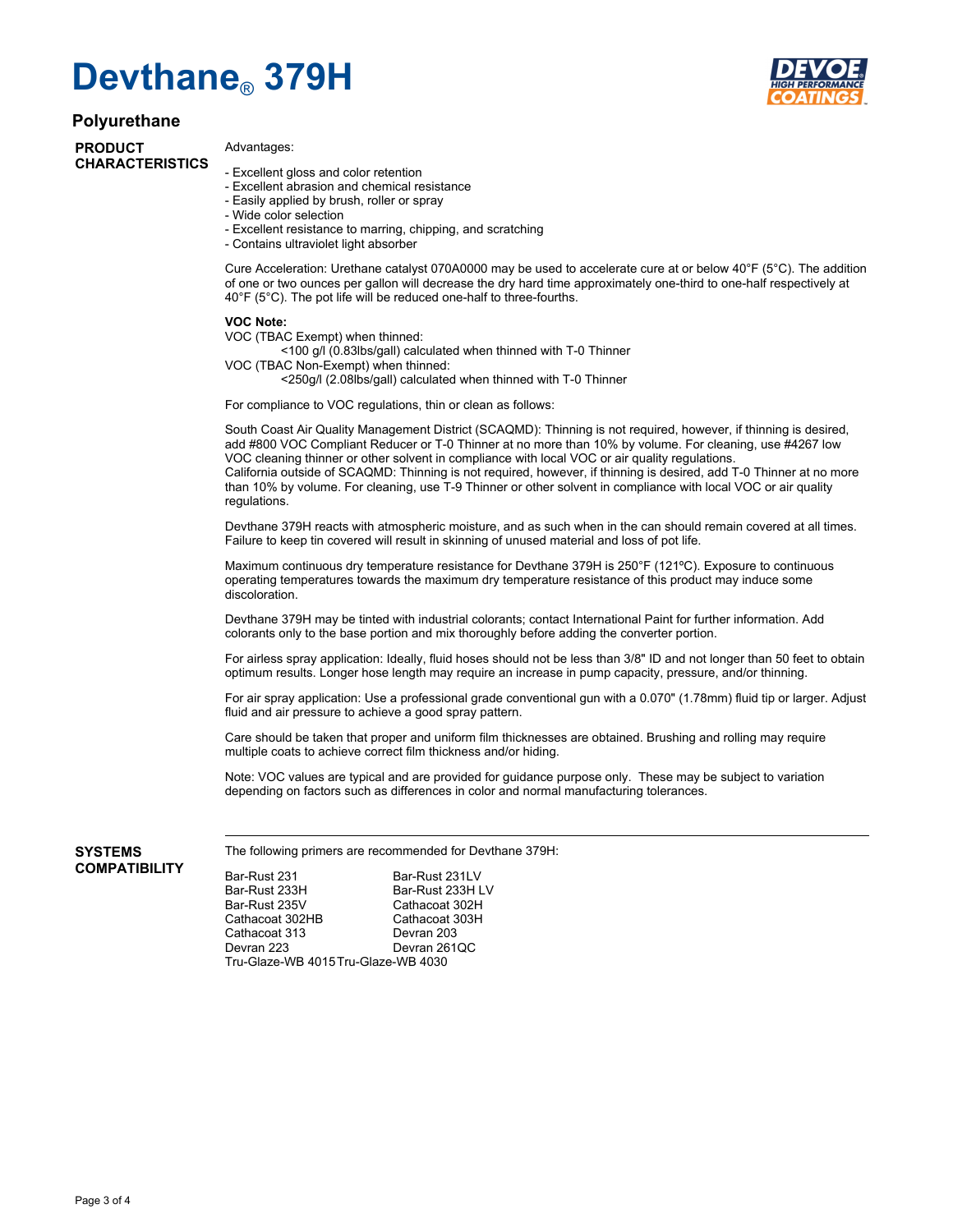

### **Polyurethane**

**PRODUCT CHARACTERISTICS**

### Advantages:

- Excellent gloss and color retention
- Excellent abrasion and chemical resistance
- Easily applied by brush, roller or spray
- Wide color selection
- Excellent resistance to marring, chipping, and scratching
- Contains ultraviolet light absorber

Cure Acceleration: Urethane catalyst 070A0000 may be used to accelerate cure at or below 40°F (5°C). The addition of one or two ounces per gallon will decrease the dry hard time approximately one-third to one-half respectively at 40°F (5°C). The pot life will be reduced one-half to three-fourths.

#### **VOC Note:**

VOC (TBAC Exempt) when thinned:

<100 g/l (0.83lbs/gall) calculated when thinned with T-0 Thinner

VOC (TBAC Non-Exempt) when thinned:

<250g/l (2.08lbs/gall) calculated when thinned with T-0 Thinner

For compliance to VOC regulations, thin or clean as follows:

South Coast Air Quality Management District (SCAQMD): Thinning is not required, however, if thinning is desired, add #800 VOC Compliant Reducer or T-0 Thinner at no more than 10% by volume. For cleaning, use #4267 low VOC cleaning thinner or other solvent in compliance with local VOC or air quality regulations. California outside of SCAQMD: Thinning is not required, however, if thinning is desired, add T-0 Thinner at no more than 10% by volume. For cleaning, use T-9 Thinner or other solvent in compliance with local VOC or air quality regulations.

Devthane 379H reacts with atmospheric moisture, and as such when in the can should remain covered at all times. Failure to keep tin covered will result in skinning of unused material and loss of pot life.

Maximum continuous dry temperature resistance for Devthane 379H is 250°F (121ºC). Exposure to continuous operating temperatures towards the maximum dry temperature resistance of this product may induce some discoloration.

Devthane 379H may be tinted with industrial colorants; contact International Paint for further information. Add colorants only to the base portion and mix thoroughly before adding the converter portion.

For airless spray application: Ideally, fluid hoses should not be less than 3/8" ID and not longer than 50 feet to obtain optimum results. Longer hose length may require an increase in pump capacity, pressure, and/or thinning.

For air spray application: Use a professional grade conventional gun with a 0.070" (1.78mm) fluid tip or larger. Adjust fluid and air pressure to achieve a good spray pattern.

Care should be taken that proper and uniform film thicknesses are obtained. Brushing and rolling may require multiple coats to achieve correct film thickness and/or hiding.

Note: VOC values are typical and are provided for guidance purpose only. These may be subject to variation depending on factors such as differences in color and normal manufacturing tolerances.

**SYSTEMS COMPATIBILITY** The following primers are recommended for Devthane 379H:

Bar-Rust 231 Bar-Rust 231LV<br>Bar-Rust 233H Bar-Rust 233H I Bar-Rust 233H Bar-Rust 233H LV Cathacoat 302H Cathacoat 302HB Cathacoat 303H Cathacoat 313<br>Devran 223 Devran 261QC Tru-Glaze-WB 4015 Tru-Glaze-WB 4030